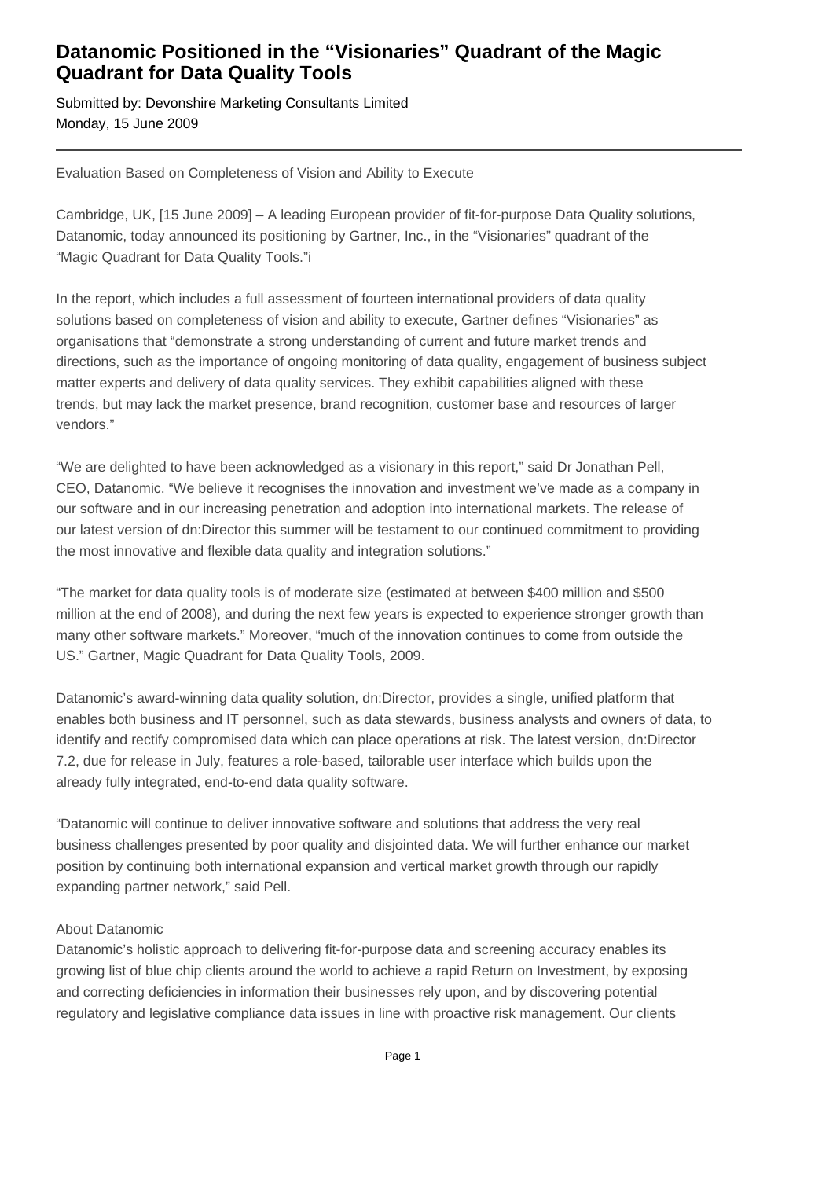## **Datanomic Positioned in the "Visionaries" Quadrant of the Magic Quadrant for Data Quality Tools**

Submitted by: Devonshire Marketing Consultants Limited Monday, 15 June 2009

Evaluation Based on Completeness of Vision and Ability to Execute

Cambridge, UK, [15 June 2009] – A leading European provider of fit-for-purpose Data Quality solutions, Datanomic, today announced its positioning by Gartner, Inc., in the "Visionaries" quadrant of the "Magic Quadrant for Data Quality Tools."i

In the report, which includes a full assessment of fourteen international providers of data quality solutions based on completeness of vision and ability to execute, Gartner defines "Visionaries" as organisations that "demonstrate a strong understanding of current and future market trends and directions, such as the importance of ongoing monitoring of data quality, engagement of business subject matter experts and delivery of data quality services. They exhibit capabilities aligned with these trends, but may lack the market presence, brand recognition, customer base and resources of larger vendors."

"We are delighted to have been acknowledged as a visionary in this report," said Dr Jonathan Pell, CEO, Datanomic. "We believe it recognises the innovation and investment we've made as a company in our software and in our increasing penetration and adoption into international markets. The release of our latest version of dn:Director this summer will be testament to our continued commitment to providing the most innovative and flexible data quality and integration solutions."

"The market for data quality tools is of moderate size (estimated at between \$400 million and \$500 million at the end of 2008), and during the next few years is expected to experience stronger growth than many other software markets." Moreover, "much of the innovation continues to come from outside the US." Gartner, Magic Quadrant for Data Quality Tools, 2009.

Datanomic's award-winning data quality solution, dn:Director, provides a single, unified platform that enables both business and IT personnel, such as data stewards, business analysts and owners of data, to identify and rectify compromised data which can place operations at risk. The latest version, dn:Director 7.2, due for release in July, features a role-based, tailorable user interface which builds upon the already fully integrated, end-to-end data quality software.

"Datanomic will continue to deliver innovative software and solutions that address the very real business challenges presented by poor quality and disjointed data. We will further enhance our market position by continuing both international expansion and vertical market growth through our rapidly expanding partner network," said Pell.

## About Datanomic

Datanomic's holistic approach to delivering fit-for-purpose data and screening accuracy enables its growing list of blue chip clients around the world to achieve a rapid Return on Investment, by exposing and correcting deficiencies in information their businesses rely upon, and by discovering potential regulatory and legislative compliance data issues in line with proactive risk management. Our clients